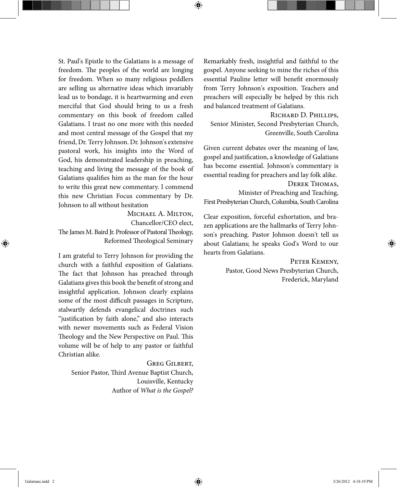St. Paul's Epistle to the Galatians is a message of freedom. The peoples of the world are longing for freedom. When so many religious peddlers are selling us alternative ideas which invariably lead us to bondage, it is heartwarming and even merciful that God should bring to us a fresh commentary on this book of freedom called Galatians. I trust no one more with this needed and most central message of the Gospel that my friend, Dr. Terry Johnson. Dr. Johnson's extensive pastoral work, his insights into the Word of God, his demonstrated leadership in preaching, teaching and living the message of the book of Galatians qualifies him as the man for the hour to write this great new commentary. I commend this new Christian Focus commentary by Dr. Johnson to all without hesitation

Michael A. Milton,

 $\bigoplus$ 

Chancellor/CEO elect,

The James M. Baird Jr. Professor of Pastoral Theology, Reformed Theological Seminary

I am grateful to Terry Johnson for providing the church with a faithful exposition of Galatians. The fact that Johnson has preached through Galatians gives this book the benefit of strong and insightful application. Johnson clearly explains some of the most difficult passages in Scripture, stalwartly defends evangelical doctrines such "justification by faith alone," and also interacts with newer movements such as Federal Vision Theology and the New Perspective on Paul. This volume will be of help to any pastor or faithful Christian alike.

Greg Gilbert, Senior Pastor, Third Avenue Baptist Church, Louisville, Kentucky Author of What is the Gospel? Remarkably fresh, insightful and faithful to the gospel. Anyone seeking to mine the riches of this essential Pauline letter will benefit enormously from Terry Johnson's exposition. Teachers and preachers will especially be helped by this rich and balanced treatment of Galatians.

Richard D. Phillips, Senior Minister, Second Presbyterian Church, Greenville, South Carolina

Given current debates over the meaning of law, gospel and justification, a knowledge of Galatians has become essential. Johnson's commentary is essential reading for preachers and lay folk alike. Derek Thomas, Minister of Preaching and Teaching, First Presbyterian Church, Columbia, South Carolina

Clear exposition, forceful exhortation, and brazen applications are the hallmarks of Terry Johnson's preaching. Pastor Johnson doesn't tell us about Galatians; he speaks God's Word to our hearts from Galatians.

> PETER KEMENY, Pastor, Good News Presbyterian Church, Frederick, Maryland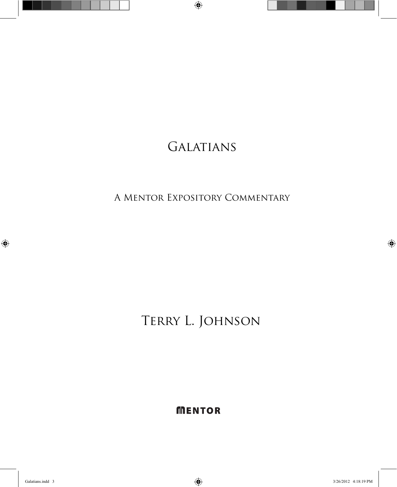# **GALATIANS**

 $\bigoplus$ 

A Mentor Expository Commentary

Terry L. Johnson

**MENTOR** 

 $\bigoplus$ 

Galatians.indd 3 3/26/2012 4:18:19 PM

 $\bigoplus$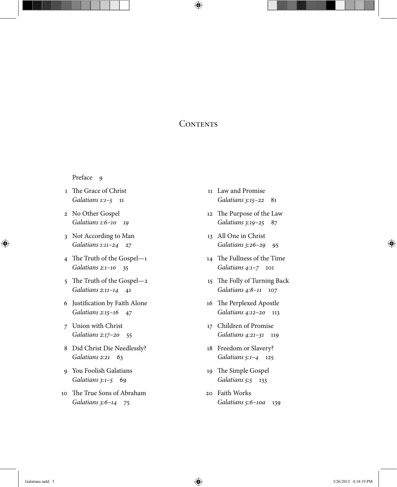# **CONTENTS**

 $\bigoplus$ 

# Preface 9

- 1 The Grace of Christ Galatians 1:1-5 11
- 2 No Other Gospel Galatians 1:6-10 19
- 3 Not According to Man Galatians 1:11–24 27
- 4 The Truth of the Gospel— $1$ Galatians 2:1–10 35
- 5 The Truth of the Gospel—2 Galatians 2:11-14 41
- 6 Justification by Faith Alone Galatians 2:15–16 47
- 7 Union with Christ Galatians 2:17–20 55
- 8 Did Christ Die Needlessly? Galatians 2:21 63
- 9 You Foolish Galatians Galatians 3:1–5 69
- 10 The True Sons of Abraham Galatians 3:6–14 75
- 11 Law and Promise Galatians 3:15-22 81
- 12 The Purpose of the Law Galatians 3:19–25 87
- 13 All One in Christ Galatians 3:26–29 95
- 14 The Fullness of the Time Galatians 4:1–7 101
- 15 The Folly of Turning Back Galatians 4:8–11 107
- 16 The Perplexed Apostle Galatians 4:12-20 113
- 17 Children of Promise Galatians 4:21-31 119
- 18 Freedom or Slavery? Galatians 5:1–4 125
- 19 The Simple Gospel Galatians 5:5 133
- 20 Faith Works Galatians 5:6–10a 139

⊕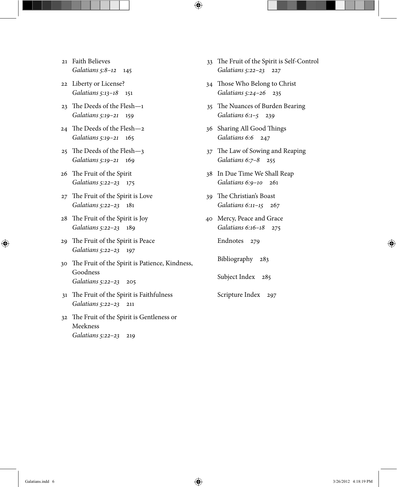- 21 Faith Believes Galatians 5:8–12 145
- 22 Liberty or License? Galatians 5:13–18 151
- $23$  The Deeds of the Flesh $-1$ Galatians 5:19–21 159
- $24$  The Deeds of the Flesh- $2$ Galatians 5:19–21 165
- 25 The Deeds of the Flesh-3 Galatians 5:19–21 169
- 26 The Fruit of the Spirit Galatians 5:22–23 175
- 27 The Fruit of the Spirit is Love Galatians 5:22–23 181
- 28 The Fruit of the Spirit is Joy Galatians 5:22–23 189
- 29 The Fruit of the Spirit is Peace Galatians 5:22–23 197
- 30 The Fruit of the Spirit is Patience, Kindness, Goodness Galatians 5:22–23 205
- 31 The Fruit of the Spirit is Faithfulness Galatians 5:22–23 211
- 32 The Fruit of the Spirit is Gentleness or Meekness Galatians 5:22–23 219
- 33 The Fruit of the Spirit is Self-Control Galatians 5:22–23 227
- 34 Those Who Belong to Christ Galatians 5:24–26 235

 $\bigoplus$ 

- 35 The Nuances of Burden Bearing Galatians 6:1–5 239
- 36 Sharing All Good Things Galatians 6:6 247
- 37 The Law of Sowing and Reaping Galatians 6:7–8 255
- 38 In Due Time We Shall Reap Galatians 6:9–10 261
- 39 The Christian's Boast Galatians 6:11–15 267
- 40 Mercy, Peace and Grace Galatians 6:16–18 275
	- Endnotes 279

Bibliography 283

Subject Index 285

Scripture Index 297

⊕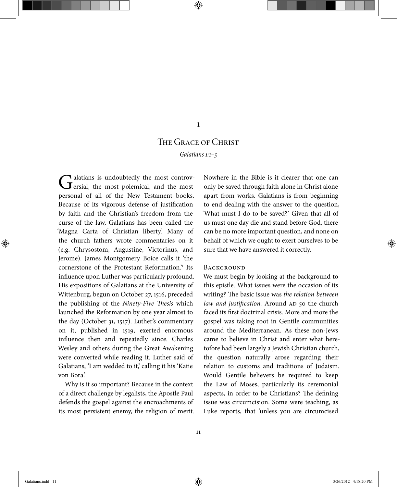# 1

⊕

# The Grace of Christ

Galatians 1:1–5

Galatians is undoubtedly the most controv-<br>
Gersial, the most polemical, and the most personal of all of the New Testament books. Because of its vigorous defense of justification by faith and the Christian's freedom from the curse of the law, Galatians has been called the 'Magna Carta of Christian liberty.' Many of the church fathers wrote commentaries on it (e.g. Chrysostom, Augustine, Victorinus, and Jerome). James Montgomery Boice calls it 'the cornerstone of the Protestant Reformation.<sup>21</sup> Its influence upon Luther was particularly profound. His expositions of Galatians at the University of Wittenburg, begun on October 27, 1516, preceded the publishing of the Ninety-Five Thesis which launched the Reformation by one year almost to the day (October 31, 1517). Luther's commentary on it, published in 1519, exerted enormous influence then and repeatedly since. Charles Wesley and others during the Great Awakening were converted while reading it. Luther said of Galatians, 'I am wedded to it,' calling it his 'Katie von Bora.'

Why is it so important? Because in the context of a direct challenge by legalists, the Apostle Paul defends the gospel against the encroachments of its most persistent enemy, the religion of merit.

Nowhere in the Bible is it clearer that one can only be saved through faith alone in Christ alone apart from works. Galatians is from beginning to end dealing with the answer to the question, 'What must I do to be saved?' Given that all of us must one day die and stand before God, there can be no more important question, and none on behalf of which we ought to exert ourselves to be sure that we have answered it correctly.

#### **BACKGROUND**

We must begin by looking at the background to this epistle. What issues were the occasion of its writing? The basic issue was the relation between law and justification. Around AD 50 the church faced its first doctrinal crisis. More and more the gospel was taking root in Gentile communities around the Mediterranean. As these non-Jews came to believe in Christ and enter what heretofore had been largely a Jewish Christian church, the question naturally arose regarding their relation to customs and traditions of Judaism. Would Gentile believers be required to keep the Law of Moses, particularly its ceremonial aspects, in order to be Christians? The defining issue was circumcision. Some were teaching, as Luke reports, that 'unless you are circumcised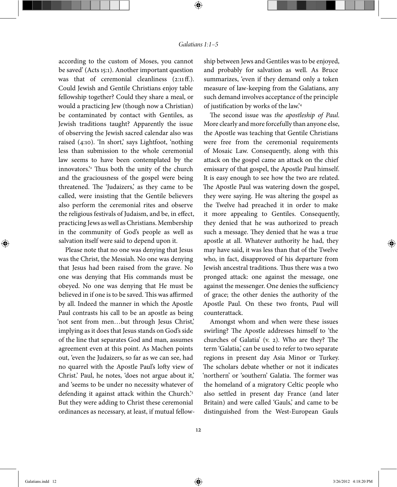according to the custom of Moses, you cannot be saved' (Acts 15:1). Another important question was that of ceremonial cleanliness  $(2:11ff)$ . Could Jewish and Gentile Christians enjoy table fellowship together? Could they share a meal, or would a practicing Jew (though now a Christian) be contaminated by contact with Gentiles, as Jewish traditions taught? Apparently the issue of observing the Jewish sacred calendar also was raised (4:10). 'In short,' says Lightfoot, 'nothing less than submission to the whole ceremonial law seems to have been contemplated by the innovators.<sup>2</sup> Thus both the unity of the church and the graciousness of the gospel were being threatened. The 'Judaizers,' as they came to be called, were insisting that the Gentile believers also perform the ceremonial rites and observe the religious festivals of Judaism, and be, in effect, practicing Jews as well as Christians. Membership in the community of God's people as well as salvation itself were said to depend upon it.

Please note that no one was denying that Jesus was the Christ, the Messiah. No one was denying that Jesus had been raised from the grave. No one was denying that His commands must be obeyed. No one was denying that He must be believed in if one is to be saved. This was affirmed by all. Indeed the manner in which the Apostle Paul contrasts his call to be an apostle as being 'not sent from men…but through Jesus Christ,' implying as it does that Jesus stands on God's side of the line that separates God and man, assumes agreement even at this point. As Machen points out, 'even the Judaizers, so far as we can see, had no quarrel with the Apostle Paul's lofty view of Christ.' Paul, he notes, 'does not argue about it,' and 'seems to be under no necessity whatever of defending it against attack within the Church.'<sup>3</sup> But they were adding to Christ these ceremonial ordinances as necessary, at least, if mutual fellowship between Jews and Gentiles was to be enjoyed, and probably for salvation as well. As Bruce summarizes, 'even if they demand only a token measure of law-keeping from the Galatians, any such demand involves acceptance of the principle of justification by works of the law.'<sup>4</sup>

The second issue was the apostleship of Paul. More clearly and more forcefully than anyone else, the Apostle was teaching that Gentile Christians were free from the ceremonial requirements of Mosaic Law. Consequently, along with this attack on the gospel came an attack on the chief emissary of that gospel, the Apostle Paul himself. It is easy enough to see how the two are related. The Apostle Paul was watering down the gospel, they were saying. He was altering the gospel as the Twelve had preached it in order to make it more appealing to Gentiles. Consequently, they denied that he was authorized to preach such a message. They denied that he was a true apostle at all. Whatever authority he had, they may have said, it was less than that of the Twelve who, in fact, disapproved of his departure from Jewish ancestral traditions. Thus there was a two pronged attack: one against the message, one against the messenger. One denies the sufficiency of grace; the other denies the authority of the Apostle Paul. On these two fronts, Paul will counterattack.

Amongst whom and when were these issues swirling? The Apostle addresses himself to 'the churches of Galatia' (v. 2). Who are they? The term 'Galatia,' can be used to refer to two separate regions in present day Asia Minor or Turkey. The scholars debate whether or not it indicates 'northern' or 'southern' Galatia. The former was the homeland of a migratory Celtic people who also settled in present day France (and later Britain) and were called 'Gauls,' and came to be distinguished from the West-European Gauls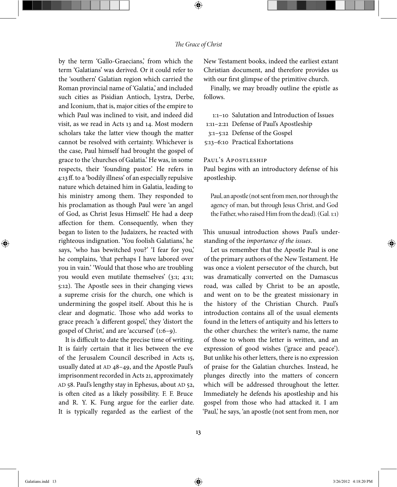## The Grace of Christ

⊕

by the term 'Gallo-Graecians,' from which the term 'Galatians' was derived. Or it could refer to the 'southern' Galatian region which carried the Roman provincial name of 'Galatia,' and included such cities as Pisidian Antioch, Lystra, Derbe, and Iconium, that is, major cities of the empire to which Paul was inclined to visit, and indeed did visit, as we read in Acts 13 and 14. Most modern scholars take the latter view though the matter cannot be resolved with certainty. Whichever is the case, Paul himself had brought the gospel of grace to the 'churches of Galatia.' He was, in some respects, their 'founding pastor.' He refers in 4:13 ff. to a 'bodily illness' of an especially repulsive nature which detained him in Galatia, leading to his ministry among them. They responded to his proclamation as though Paul were 'an angel of God, as Christ Jesus Himself.' He had a deep affection for them. Consequently, when they began to listen to the Judaizers, he reacted with righteous indignation. 'You foolish Galatians,' he says, 'who has bewitched you?' 'I fear for you,' he complains, 'that perhaps I have labored over you in vain.' 'Would that those who are troubling you would even mutilate themselves' (3:1; 4:11; 5:12). The Apostle sees in their changing views a supreme crisis for the church, one which is undermining the gospel itself. About this he is clear and dogmatic. Those who add works to grace preach 'a different gospel,' they 'distort the gospel of Christ,' and are 'accursed' (1:6–9).

It is difficult to date the precise time of writing. It is fairly certain that it lies between the eve of the Jerusalem Council described in Acts 15, usually dated at AD 48–49, and the Apostle Paul's imprisonment recorded in Acts 21, approximately AD 58. Paul's lengthy stay in Ephesus, about AD 52, is often cited as a likely possibility. F. F. Bruce and R. Y. K. Fung argue for the earlier date. It is typically regarded as the earliest of the

New Testament books, indeed the earliest extant Christian document, and therefore provides us with our first glimpse of the primitive church.

Finally, we may broadly outline the epistle as follows.

:1–10 Salutation and Introduction of Issues :11–2:21 Defense of Paul's Apostleship :1–5:12 Defense of the Gospel :13–6:10 Practical Exhortations

## Paul's Apostleship

Paul begins with an introductory defense of his apostleship.

Paul, an apostle (not sent from men, nor through the agency of man, but through Jesus Christ, and God the Father, who raised Him from the dead). (Gal. 1:1)

This unusual introduction shows Paul's understanding of the importance of the issues.

Let us remember that the Apostle Paul is one of the primary authors of the New Testament. He was once a violent persecutor of the church, but was dramatically converted on the Damascus road, was called by Christ to be an apostle, and went on to be the greatest missionary in the history of the Christian Church. Paul's introduction contains all of the usual elements found in the letters of antiquity and his letters to the other churches: the writer's name, the name of those to whom the letter is written, and an expression of good wishes ('grace and peace'). But unlike his other letters, there is no expression of praise for the Galatian churches. Instead, he plunges directly into the matters of concern which will be addressed throughout the letter. Immediately he defends his apostleship and his gospel from those who had attacked it. I am 'Paul,' he says, 'an apostle (not sent from men, nor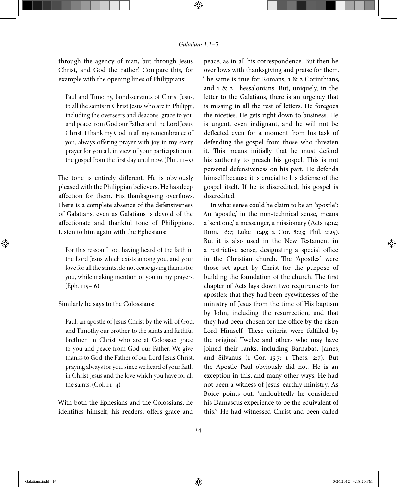through the agency of man, but through Jesus Christ, and God the Father.' Compare this, for example with the opening lines of Philippians:

Paul and Timothy, bond-servants of Christ Jesus, to all the saints in Christ Jesus who are in Philippi, including the overseers and deacons: grace to you and peace from God our Father and the Lord Jesus Christ. I thank my God in all my remembrance of you, always offering prayer with joy in my every prayer for you all, in view of your participation in the gospel from the first day until now. (Phil.  $1:1-5$ )

The tone is entirely different. He is obviously pleased with the Philippian believers. He has deep affection for them. His thanksgiving overflows. There is a complete absence of the defensiveness of Galatians, even as Galatians is devoid of the affectionate and thankful tone of Philippians. Listen to him again with the Ephesians:

For this reason I too, having heard of the faith in the Lord Jesus which exists among you, and your love for all the saints, do not cease giving thanks for you, while making mention of you in my prayers. (Eph. 1:15–16)

Similarly he says to the Colossians:

Paul, an apostle of Jesus Christ by the will of God, and Timothy our brother, to the saints and faithful brethren in Christ who are at Colossae: grace to you and peace from God our Father. We give thanks to God, the Father of our Lord Jesus Christ, praying always for you, since we heard of your faith in Christ Jesus and the love which you have for all the saints.  $(Col. 1:1-4)$ 

With both the Ephesians and the Colossians, he identifies himself, his readers, offers grace and

peace, as in all his correspondence. But then he overflows with thanksgiving and praise for them. The same is true for Romans,  $1 \& 2$  Corinthians, and  $1 \& 2$  Thessalonians. But, uniquely, in the letter to the Galatians, there is an urgency that is missing in all the rest of letters. He foregoes the niceties. He gets right down to business. He is urgent, even indignant, and he will not be deflected even for a moment from his task of defending the gospel from those who threaten it. This means initially that he must defend his authority to preach his gospel. This is not personal defensiveness on his part. He defends himself because it is crucial to his defense of the gospel itself. If he is discredited, his gospel is discredited.

In what sense could he claim to be an 'apostle'? An 'apostle,' in the non-technical sense, means a 'sent one,' a messenger, a missionary (Acts 14:14; Rom. 16:7; Luke 11:49; 2 Cor. 8:23; Phil. 2:25). But it is also used in the New Testament in a restrictive sense, designating a special office in the Christian church. The 'Apostles' were those set apart by Christ for the purpose of building the foundation of the church. The first chapter of Acts lays down two requirements for apostles: that they had been eyewitnesses of the ministry of Jesus from the time of His baptism by John, including the resurrection, and that they had been chosen for the office by the risen Lord Himself. These criteria were fulfilled by the original Twelve and others who may have joined their ranks, including Barnabas, James, and Silvanus ( $1$  Cor.  $15:7$ ;  $1$  Thess.  $2:7$ ). But the Apostle Paul obviously did not. He is an exception in this, and many other ways. He had not been a witness of Jesus' earthly ministry. As Boice points out, 'undoubtedly he considered his Damascus experience to be the equivalent of this.'<sup>5</sup> He had witnessed Christ and been called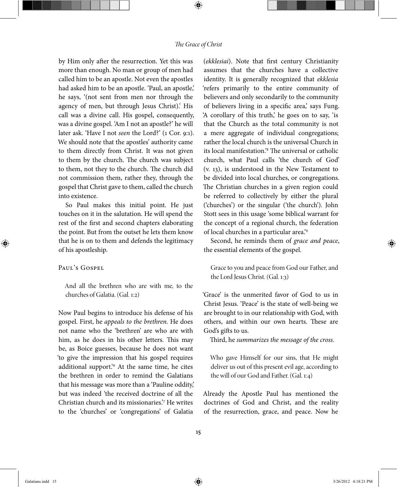## The Grace of Christ

⊕

by Him only after the resurrection. Yet this was more than enough. No man or group of men had called him to be an apostle. Not even the apostles had asked him to be an apostle. 'Paul, an apostle,' he says, '(not sent from men nor through the agency of men, but through Jesus Christ).' His call was a divine call. His gospel, consequently, was a divine gospel. 'Am I not an apostle?' he will later ask. 'Have I not seen the Lord?' (1 Cor. 9:1). We should note that the apostles' authority came to them directly from Christ. It was not given to them by the church. The church was subject to them, not they to the church. The church did not commission them, rather they, through the gospel that Christ gave to them, called the church into existence.

So Paul makes this initial point. He just touches on it in the salutation. He will spend the rest of the first and second chapters elaborating the point. But from the outset he lets them know that he is on to them and defends the legitimacy of his apostleship.

## PAUL'S GOSPEL

⊕

And all the brethren who are with me, to the churches of Galatia. (Gal. 1:2)

Now Paul begins to introduce his defense of his gospel. First, he appeals to the brethren. He does not name who the 'brethren' are who are with him, as he does in his other letters. This may be, as Boice guesses, because he does not want 'to give the impression that his gospel requires additional support.'<sup>6</sup> At the same time, he cites the brethren in order to remind the Galatians that his message was more than a 'Pauline oddity,' but was indeed 'the received doctrine of all the Christian church and its missionaries.'<sup>7</sup> He writes to the 'churches' or 'congregations' of Galatia

(ekklesiai). Note that first century Christianity assumes that the churches have a collective identity. It is generally recognized that ekklesia 'refers primarily to the entire community of believers and only secondarily to the community of believers living in a specific area, says Fung. 'A corollary of this truth,' he goes on to say, 'is that the Church as the total community is not a mere aggregate of individual congregations; rather the local church is the universal Church in its local manifestation.<sup>8</sup> The universal or catholic church, what Paul calls 'the church of God' (v. 13), is understood in the New Testament to be divided into local churches, or congregations. The Christian churches in a given region could be referred to collectively by either the plural ('churches') or the singular ('the church'). John Stott sees in this usage 'some biblical warrant for the concept of a regional church, the federation of local churches in a particular area.'<sup>9</sup>

Second, he reminds them of grace and peace, the essential elements of the gospel.

Grace to you and peace from God our Father, and the Lord Jesus Christ. (Gal. 1:3)

'Grace' is the unmerited favor of God to us in Christ Jesus. 'Peace' is the state of well-being we are brought to in our relationship with God, with others, and within our own hearts. These are God's gifts to us.

Third, he summarizes the message of the cross.

Who gave Himself for our sins, that He might deliver us out of this present evil age, according to the will of our God and Father. (Gal. 1:4)

Already the Apostle Paul has mentioned the doctrines of God and Christ, and the reality of the resurrection, grace, and peace. Now he

15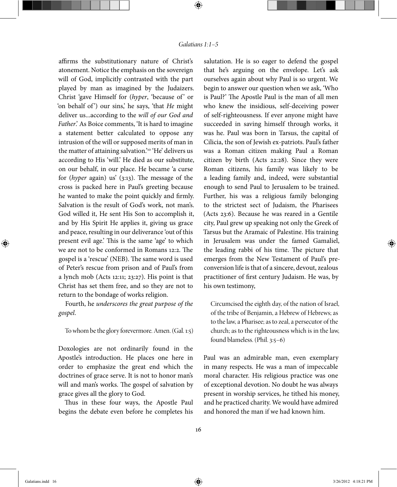affirms the substitutionary nature of Christ's atonement. Notice the emphasis on the sovereign will of God, implicitly contrasted with the part played by man as imagined by the Judaizers. Christ 'gave Himself for (hyper, 'because of' or 'on behalf of') our sins,' he says, 'that He might deliver us...according to the will of our God and Father.' As Boice comments, 'It is hard to imagine a statement better calculated to oppose any intrusion of the will or supposed merits of man in the matter of attaining salvation.'<sup>10</sup> 'He' delivers us according to His 'will.' He died as our substitute, on our behalf, in our place. He became 'a curse for  $(hyper$  again) us'  $(3:13)$ . The message of the cross is packed here in Paul's greeting because he wanted to make the point quickly and firmly. Salvation is the result of God's work, not man's. God willed it, He sent His Son to accomplish it, and by His Spirit He applies it, giving us grace and peace, resulting in our deliverance 'out of this present evil age.' This is the same 'age' to which we are not to be conformed in Romans 12:2. The gospel is a 'rescue' (NEB). The same word is used of Peter's rescue from prison and of Paul's from a lynch mob (Acts 12:11; 23:27). His point is that Christ has set them free, and so they are not to return to the bondage of works religion.

Fourth, he underscores the great purpose of the gospel.

#### To whom be the glory forevermore. Amen. (Gal. 1:5)

Doxologies are not ordinarily found in the Apostle's introduction. He places one here in order to emphasize the great end which the doctrines of grace serve. It is not to honor man's will and man's works. The gospel of salvation by grace gives all the glory to God.

Thus in these four ways, the Apostle Paul begins the debate even before he completes his

salutation. He is so eager to defend the gospel that he's arguing on the envelope. Let's ask ourselves again about why Paul is so urgent. We begin to answer our question when we ask, 'Who is Paul?' The Apostle Paul is the man of all men who knew the insidious, self-deceiving power of self-righteousness. If ever anyone might have succeeded in saving himself through works, it was he. Paul was born in Tarsus, the capital of Cilicia, the son of Jewish ex-patriots. Paul's father was a Roman citizen making Paul a Roman citizen by birth (Acts 22:28). Since they were Roman citizens, his family was likely to be a leading family and, indeed, were substantial enough to send Paul to Jerusalem to be trained. Further, his was a religious family belonging to the strictest sect of Judaism, the Pharisees (Acts 23:6). Because he was reared in a Gentile city, Paul grew up speaking not only the Greek of Tarsus but the Aramaic of Palestine. His training in Jerusalem was under the famed Gamaliel, the leading rabbi of his time. The picture that emerges from the New Testament of Paul's preconversion life is that of a sincere, devout, zealous practitioner of first century Judaism. He was, by his own testimony,

Circumcised the eighth day, of the nation of Israel, of the tribe of Benjamin, a Hebrew of Hebrews; as to the law, a Pharisee; as to zeal, a persecutor of the church; as to the righteousness which is in the law, found blameless. (Phil. 3:5–6)

Paul was an admirable man, even exemplary in many respects. He was a man of impeccable moral character. His religious practice was one of exceptional devotion. No doubt he was always present in worship services, he tithed his money, and he practiced charity. We would have admired and honored the man if we had known him.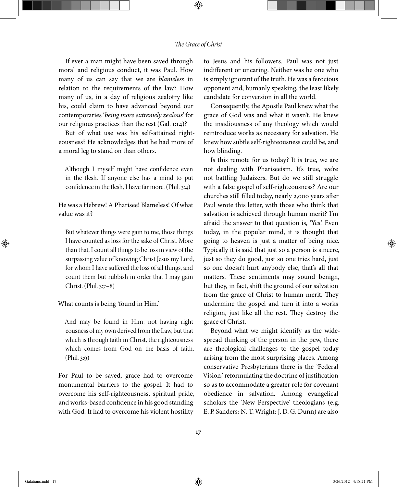#### The Grace of Christ

⊕

If ever a man might have been saved through moral and religious conduct, it was Paul. How many of us can say that we are blameless in relation to the requirements of the law? How many of us, in a day of religious zealotry like his, could claim to have advanced beyond our contemporaries 'being more extremely zealous' for our religious practices than the rest (Gal. 1:14)?

But of what use was his self-attained righteousness? He acknowledges that he had more of a moral leg to stand on than others.

Although I myself might have confidence even in the flesh. If anyone else has a mind to put confidence in the flesh, I have far more. (Phil.  $3:4$ )

# He was a Hebrew! A Pharisee! Blameless! Of what value was it?

But whatever things were gain to me, those things I have counted as loss for the sake of Christ. More than that, I count all things to be loss in view of the surpassing value of knowing Christ Jesus my Lord, for whom I have suffered the loss of all things, and count them but rubbish in order that I may gain Christ. (Phil. 3:7–8)

#### What counts is being 'found in Him.'

And may be found in Him, not having right eousness of my own derived from the Law, but that which is through faith in Christ, the righteousness which comes from God on the basis of faith. (Phil. 3:9)

For Paul to be saved, grace had to overcome monumental barriers to the gospel. It had to overcome his self-righteousness, spiritual pride, and works-based confidence in his good standing with God. It had to overcome his violent hostility

to Jesus and his followers. Paul was not just indifferent or uncaring. Neither was he one who is simply ignorant of the truth. He was a ferocious opponent and, humanly speaking, the least likely candidate for conversion in all the world.

Consequently, the Apostle Paul knew what the grace of God was and what it wasn't. He knew the insidiousness of any theology which would reintroduce works as necessary for salvation. He knew how subtle self-righteousness could be, and how blinding.

Is this remote for us today? It is true, we are not dealing with Phariseeism. It's true, we're not battling Judaizers. But do we still struggle with a false gospel of self-righteousness? Are our churches still filled today, nearly 2,000 years after Paul wrote this letter, with those who think that salvation is achieved through human merit? I'm afraid the answer to that question is, 'Yes.' Even today, in the popular mind, it is thought that going to heaven is just a matter of being nice. Typically it is said that just so a person is sincere, just so they do good, just so one tries hard, just so one doesn't hurt anybody else, that's all that matters. These sentiments may sound benign, but they, in fact, shift the ground of our salvation from the grace of Christ to human merit. They undermine the gospel and turn it into a works religion, just like all the rest. They destroy the grace of Christ.

Beyond what we might identify as the widespread thinking of the person in the pew, there are theological challenges to the gospel today arising from the most surprising places. Among conservative Presbyterians there is the 'Federal Vision,' reformulating the doctrine of justification so as to accommodate a greater role for covenant obedience in salvation. Among evangelical scholars the 'New Perspective' theologians (e.g. E. P. Sanders; N. T. Wright; J. D. G. Dunn) are also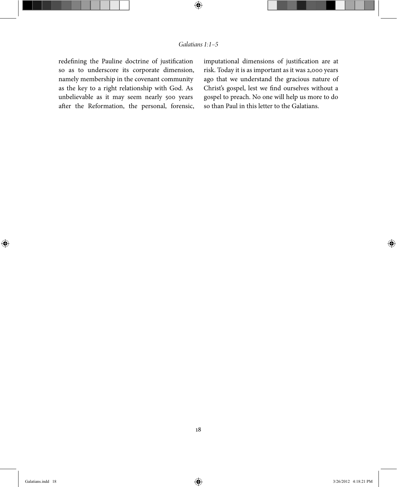# Galatians 1:1–5

 $\bigoplus$ 

redefining the Pauline doctrine of justification so as to underscore its corporate dimension, namely membership in the covenant community as the key to a right relationship with God. As unbelievable as it may seem nearly 500 years after the Reformation, the personal, forensic, imputational dimensions of justification are at risk. Today it is as important as it was 2,000 years ago that we understand the gracious nature of Christ's gospel, lest we find ourselves without a gospel to preach. No one will help us more to do so than Paul in this letter to the Galatians.

 $\bigoplus$ 

⊕

18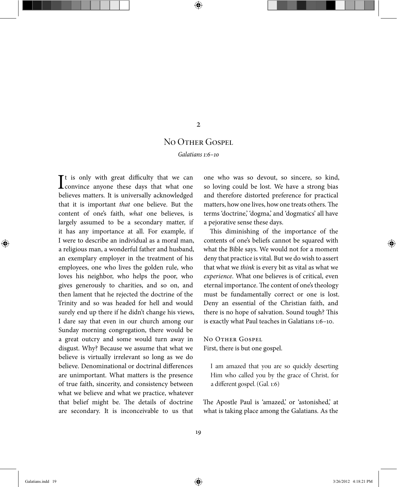# 2

⊕

# NO OTHER GOSPEL

Galatians 1:6–10

 $\prod$ t is only with great difficulty that we can convince anyone these days that what one convince anyone these days that what one believes matters. It is universally acknowledged that it is important that one believe. But the content of one's faith, what one believes, is largely assumed to be a secondary matter, if it has any importance at all. For example, if I were to describe an individual as a moral man, a religious man, a wonderful father and husband, an exemplary employer in the treatment of his employees, one who lives the golden rule, who loves his neighbor, who helps the poor, who gives generously to charities, and so on, and then lament that he rejected the doctrine of the Trinity and so was headed for hell and would surely end up there if he didn't change his views, I dare say that even in our church among our Sunday morning congregation, there would be a great outcry and some would turn away in disgust. Why? Because we assume that what we believe is virtually irrelevant so long as we do believe. Denominational or doctrinal differences are unimportant. What matters is the presence of true faith, sincerity, and consistency between what we believe and what we practice, whatever that belief might be. The details of doctrine are secondary. It is inconceivable to us that

one who was so devout, so sincere, so kind, so loving could be lost. We have a strong bias and therefore distorted preference for practical matters, how one lives, how one treats others. The terms 'doctrine,' 'dogma,' and 'dogmatics' all have a pejorative sense these days.

This diminishing of the importance of the contents of one's beliefs cannot be squared with what the Bible says. We would not for a moment deny that practice is vital. But we do wish to assert that what we think is every bit as vital as what we experience. What one believes is of critical, even eternal importance. The content of one's theology must be fundamentally correct or one is lost. Deny an essential of the Christian faith, and there is no hope of salvation. Sound tough? This is exactly what Paul teaches in Galatians 1:6–10.

No Other Gospel First, there is but one gospel.

I am amazed that you are so quickly deserting Him who called you by the grace of Christ, for a different gospel. (Gal. 1:6)

The Apostle Paul is 'amazed,' or 'astonished,' at what is taking place among the Galatians. As the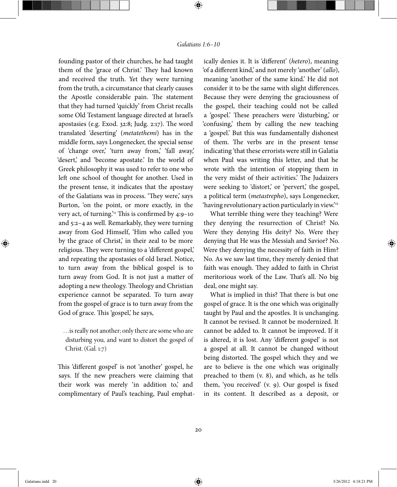founding pastor of their churches, he had taught them of the 'grace of Christ.' They had known and received the truth. Yet they were turning from the truth, a circumstance that clearly causes the Apostle considerable pain. The statement that they had turned 'quickly' from Christ recalls some Old Testament language directed at Israel's apostasies (e.g. Exod.  $32:8$ ; Judg.  $2:17$ ). The word translated 'deserting' (metatethemi) has in the middle form, says Longenecker, the special sense of 'change over,' 'turn away from,' 'fall away,' 'desert,' and 'become apostate.' In the world of Greek philosophy it was used to refer to one who left one school of thought for another. Used in the present tense, it indicates that the apostasy of the Galatians was in process. 'They were,' says Burton, 'on the point, or more exactly, in the very act, of turning.'<sup>11</sup> This is confirmed by  $4:9-10$ and 5:2–4 as well. Remarkably, they were turning away from God Himself, 'Him who called you by the grace of Christ,' in their zeal to be more religious. They were turning to a 'different gospel,' and repeating the apostasies of old Israel. Notice, to turn away from the biblical gospel is to turn away from God. It is not just a matter of adopting a new theology. Theology and Christian experience cannot be separated. To turn away from the gospel of grace is to turn away from the God of grace. This 'gospel,' he says,

…is really not another; only there are some who are disturbing you, and want to distort the gospel of Christ. (Gal. 1:7)

This 'different gospel' is not 'another' gospel, he says. If the new preachers were claiming that their work was merely 'in addition to,' and complimentary of Paul's teaching, Paul emphat-

ically denies it. It is 'different' (hetero), meaning 'of a different kind,' and not merely 'another' (allo), meaning 'another of the same kind.' He did not consider it to be the same with slight differences. Because they were denying the graciousness of the gospel, their teaching could not be called a 'gospel.' These preachers were 'disturbing,' or 'confusing,' them by calling the new teaching a 'gospel.' But this was fundamentally dishonest of them. The verbs are in the present tense indicating 'that these errorists were still in Galatia when Paul was writing this letter, and that he wrote with the intention of stopping them in the very midst of their activities.' The Judaizers were seeking to 'distort' or 'pervert' the gospel, a political term (metastrepho), says Longenecker, 'having revolutionary action particularly in view.'<sup>12</sup>

What terrible thing were they teaching? Were they denying the resurrection of Christ? No. Were they denying His deity? No. Were they denying that He was the Messiah and Savior? No. Were they denying the necessity of faith in Him? No. As we saw last time, they merely denied that faith was enough. They added to faith in Christ meritorious work of the Law. That's all. No big deal, one might say.

What is implied in this? That there is but one gospel of grace. It is the one which was originally taught by Paul and the apostles. It is unchanging. It cannot be revised. It cannot be modernized. It cannot be added to. It cannot be improved. If it is altered, it is lost. Any 'different gospel' is not a gospel at all. It cannot be changed without being distorted. The gospel which they and we are to believe is the one which was originally preached to them (v. 8), and which, as he tells them, 'you received'  $(v, g)$ . Our gospel is fixed in its content. It described as a deposit, or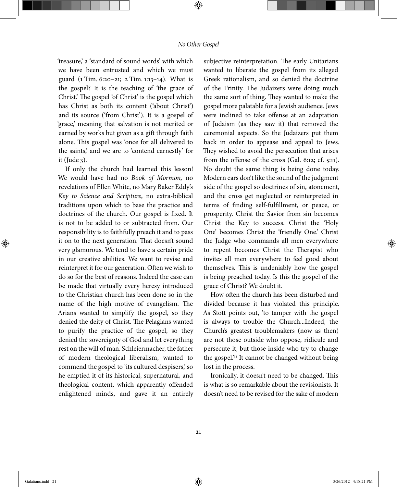#### No Other Gospel

⊕

'treasure,' a 'standard of sound words' with which we have been entrusted and which we must guard (1 Tim. 6:20–21; 2 Tim. 1:13–14). What is the gospel? It is the teaching of 'the grace of Christ.' The gospel 'of Christ' is the gospel which has Christ as both its content ('about Christ') and its source ('from Christ'). It is a gospel of 'grace,' meaning that salvation is not merited or earned by works but given as a gift through faith alone. This gospel was 'once for all delivered to the saints,' and we are to 'contend earnestly' for it (Jude 3).

If only the church had learned this lesson! We would have had no Book of Mormon, no revelations of Ellen White, no Mary Baker Eddy's Key to Science and Scripture, no extra-biblical traditions upon which to base the practice and doctrines of the church. Our gospel is fixed. It is not to be added to or subtracted from. Our responsibility is to faithfully preach it and to pass it on to the next generation. That doesn't sound very glamorous. We tend to have a certain pride in our creative abilities. We want to revise and reinterpret it for our generation. Often we wish to do so for the best of reasons. Indeed the case can be made that virtually every heresy introduced to the Christian church has been done so in the name of the high motive of evangelism. The Arians wanted to simplify the gospel, so they denied the deity of Christ. The Pelagians wanted to purify the practice of the gospel, so they denied the sovereignty of God and let everything rest on the will of man. Schleiermacher, the father of modern theological liberalism, wanted to commend the gospel to 'its cultured despisers,' so he emptied it of its historical, supernatural, and theological content, which apparently offended enlightened minds, and gave it an entirely

subjective reinterpretation. The early Unitarians wanted to liberate the gospel from its alleged Greek rationalism, and so denied the doctrine of the Trinity. The Judaizers were doing much the same sort of thing. They wanted to make the gospel more palatable for a Jewish audience. Jews were inclined to take offense at an adaptation of Judaism (as they saw it) that removed the ceremonial aspects. So the Judaizers put them back in order to appease and appeal to Jews. They wished to avoid the persecution that arises from the offense of the cross (Gal.  $6:12; cf. 5:11$ ). No doubt the same thing is being done today. Modern ears don't like the sound of the judgment side of the gospel so doctrines of sin, atonement, and the cross get neglected or reinterpreted in terms of finding self-fulfillment, or peace, or prosperity. Christ the Savior from sin becomes Christ the Key to success. Christ the 'Holy One' becomes Christ the 'friendly One.' Christ the Judge who commands all men everywhere to repent becomes Christ the Therapist who invites all men everywhere to feel good about themselves. This is undeniably how the gospel is being preached today. Is this the gospel of the grace of Christ? We doubt it.

How often the church has been disturbed and divided because it has violated this principle. As Stott points out, 'to tamper with the gospel is always to trouble the Church...Indeed, the Church's greatest troublemakers (now as then) are not those outside who oppose, ridicule and persecute it, but those inside who try to change the gospel.<sup>213</sup> It cannot be changed without being lost in the process.

Ironically, it doesn't need to be changed. This is what is so remarkable about the revisionists. It doesn't need to be revised for the sake of modern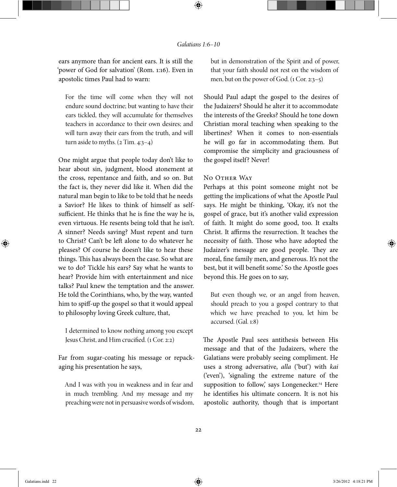ears anymore than for ancient ears. It is still the 'power of God for salvation' (Rom. 1:16). Even in apostolic times Paul had to warn:

For the time will come when they will not endure sound doctrine; but wanting to have their ears tickled, they will accumulate for themselves teachers in accordance to their own desires; and will turn away their ears from the truth, and will turn aside to myths.  $(2 Tim. 4:3-4)$ 

One might argue that people today don't like to hear about sin, judgment, blood atonement at the cross, repentance and faith, and so on. But the fact is, they never did like it. When did the natural man begin to like to be told that he needs a Savior? He likes to think of himself as selfsufficient. He thinks that he is fine the way he is, even virtuous. He resents being told that he isn't. A sinner? Needs saving? Must repent and turn to Christ? Can't be left alone to do whatever he pleases? Of course he doesn't like to hear these things. This has always been the case. So what are we to do? Tickle his ears? Say what he wants to hear? Provide him with entertainment and nice talks? Paul knew the temptation and the answer. He told the Corinthians, who, by the way, wanted him to spiff-up the gospel so that it would appeal to philosophy loving Greek culture, that,

I determined to know nothing among you except Jesus Christ, and Him crucified. (1 Cor. 2:2)

Far from sugar-coating his message or repackaging his presentation he says,

And I was with you in weakness and in fear and in much trembling. And my message and my preaching were not in persuasive words of wisdom, but in demonstration of the Spirit and of power, that your faith should not rest on the wisdom of men, but on the power of God. (1 Cor. 2:3–5)

Should Paul adapt the gospel to the desires of the Judaizers? Should he alter it to accommodate the interests of the Greeks? Should he tone down Christian moral teaching when speaking to the libertines? When it comes to non-essentials he will go far in accommodating them. But compromise the simplicity and graciousness of the gospel itself? Never!

#### No Other Way

Perhaps at this point someone might not be getting the implications of what the Apostle Paul says. He might be thinking, 'Okay, it's not the gospel of grace, but it's another valid expression of faith. It might do some good, too. It exalts Christ. It affirms the resurrection. It teaches the necessity of faith. Those who have adopted the Judaizer's message are good people. They are moral, fine family men, and generous. It's not the best, but it will benefit some.' So the Apostle goes beyond this. He goes on to say,

But even though we, or an angel from heaven, should preach to you a gospel contrary to that which we have preached to you, let him be accursed. (Gal. 1:8)

The Apostle Paul sees antithesis between His message and that of the Judaizers, where the Galatians were probably seeing compliment. He uses a strong adversative, alla ('but') with kai ('even'), 'signaling the extreme nature of the supposition to follow, says Longenecker.<sup>14</sup> Here he identifies his ultimate concern. It is not his apostolic authority, though that is important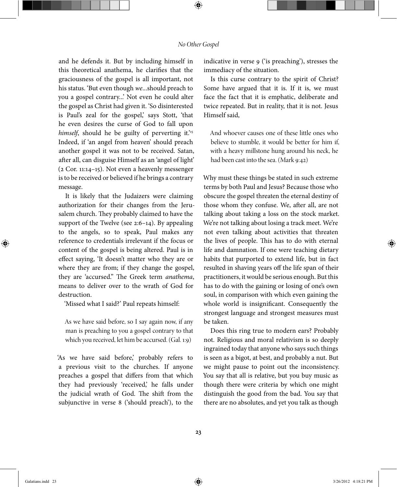#### No Other Gospel

⊕

and he defends it. But by including himself in this theoretical anathema, he clarifies that the graciousness of the gospel is all important, not his status. 'But even though we...should preach to you a gospel contrary...' Not even he could alter the gospel as Christ had given it. 'So disinterested is Paul's zeal for the gospel, says Stott, 'that he even desires the curse of God to fall upon himself, should he be guilty of perverting it.'<sup>15</sup> Indeed, if 'an angel from heaven' should preach another gospel it was not to be received. Satan, after all, can disguise Himself as an 'angel of light' (2 Cor. 11:14–15). Not even a heavenly messenger is to be received or believed if he brings a contrary message.

It is likely that the Judaizers were claiming authorization for their changes from the Jerusalem church. They probably claimed to have the support of the Twelve (see 2:6–14). By appealing to the angels, so to speak, Paul makes any reference to credentials irrelevant if the focus or content of the gospel is being altered. Paul is in effect saying, 'It doesn't matter who they are or where they are from; if they change the gospel, they are 'accursed." The Greek term anathema, means to deliver over to the wrath of God for destruction.

'Missed what I said?' Paul repeats himself:

As we have said before, so I say again now, if any man is preaching to you a gospel contrary to that which you received, let him be accursed. (Gal. 1:9)

'As we have said before,' probably refers to a previous visit to the churches. If anyone preaches a gospel that differs from that which they had previously 'received,' he falls under the judicial wrath of God. The shift from the subjunctive in verse 8 ('should preach'), to the

indicative in verse 9 ('is preaching'), stresses the immediacy of the situation.

Is this curse contrary to the spirit of Christ? Some have argued that it is. If it is, we must face the fact that it is emphatic, deliberate and twice repeated. But in reality, that it is not. Jesus Himself said,

And whoever causes one of these little ones who believe to stumble, it would be better for him if, with a heavy millstone hung around his neck, he had been cast into the sea. (Mark 9:42)

Why must these things be stated in such extreme terms by both Paul and Jesus? Because those who obscure the gospel threaten the eternal destiny of those whom they confuse. We, after all, are not talking about taking a loss on the stock market. We're not talking about losing a track meet. We're not even talking about activities that threaten the lives of people. This has to do with eternal life and damnation. If one were teaching dietary habits that purported to extend life, but in fact resulted in shaving years off the life span of their practitioners, it would be serious enough. But this has to do with the gaining or losing of one's own soul, in comparison with which even gaining the whole world is insignificant. Consequently the strongest language and strongest measures must be taken.

Does this ring true to modern ears? Probably not. Religious and moral relativism is so deeply ingrained today that anyone who says such things is seen as a bigot, at best, and probably a nut. But we might pause to point out the inconsistency. You say that all is relative, but you buy music as though there were criteria by which one might distinguish the good from the bad. You say that there are no absolutes, and yet you talk as though

23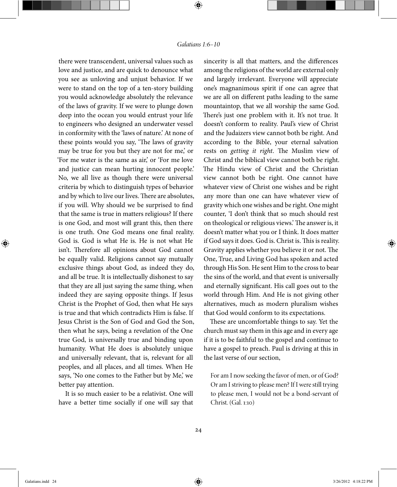there were transcendent, universal values such as love and justice, and are quick to denounce what you see as unloving and unjust behavior. If we were to stand on the top of a ten-story building you would acknowledge absolutely the relevance of the laws of gravity. If we were to plunge down deep into the ocean you would entrust your life to engineers who designed an underwater vessel in conformity with the 'laws of nature.' At none of these points would you say, 'The laws of gravity may be true for you but they are not for me,' or 'For me water is the same as air,' or 'For me love and justice can mean hurting innocent people.' No, we all live as though there were universal criteria by which to distinguish types of behavior and by which to live our lives. There are absolutes, if you will. Why should we be surprised to find that the same is true in matters religious? If there is one God, and most will grant this, then there is one truth. One God means one final reality. God is. God is what He is. He is not what He isn't. Therefore all opinions about God cannot be equally valid. Religions cannot say mutually exclusive things about God, as indeed they do, and all be true. It is intellectually dishonest to say that they are all just saying the same thing, when indeed they are saying opposite things. If Jesus Christ is the Prophet of God, then what He says is true and that which contradicts Him is false. If Jesus Christ is the Son of God and God the Son, then what he says, being a revelation of the One true God, is universally true and binding upon humanity. What He does is absolutely unique and universally relevant, that is, relevant for all peoples, and all places, and all times. When He says, 'No one comes to the Father but by Me,' we better pay attention.

It is so much easier to be a relativist. One will have a better time socially if one will say that

sincerity is all that matters, and the differences among the religions of the world are external only and largely irrelevant. Everyone will appreciate one's magnanimous spirit if one can agree that we are all on different paths leading to the same mountaintop, that we all worship the same God. There's just one problem with it. It's not true. It doesn't conform to reality. Paul's view of Christ and the Judaizers view cannot both be right. And according to the Bible, your eternal salvation rests on getting it right. The Muslim view of Christ and the biblical view cannot both be right. The Hindu view of Christ and the Christian view cannot both be right. One cannot have whatever view of Christ one wishes and be right any more than one can have whatever view of gravity which one wishes and be right. One might counter, 'I don't think that so much should rest on theological or religious views.' The answer is, it doesn't matter what you or I think. It does matter if God says it does. God is. Christ is. This is reality. Gravity applies whether you believe it or not. The One, True, and Living God has spoken and acted through His Son. He sent Him to the cross to bear the sins of the world, and that event is universally and eternally significant. His call goes out to the world through Him. And He is not giving other alternatives, much as modern pluralism wishes that God would conform to its expectations.

These are uncomfortable things to say. Yet the church must say them in this age and in every age if it is to be faithful to the gospel and continue to have a gospel to preach. Paul is driving at this in the last verse of our section,

For am I now seeking the favor of men, or of God? Or am I striving to please men? If I were still trying to please men, I would not be a bond-servant of Christ. (Gal. 1:10)